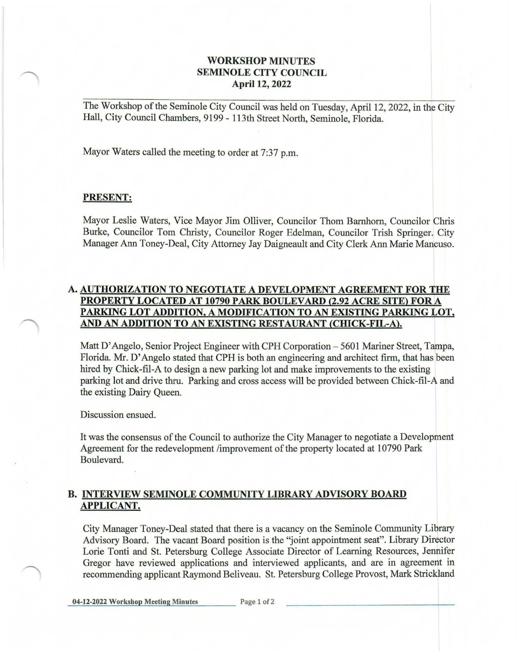## **WORKSHOP MINUTES SEMINOLE CITY COUNCIL April 12, 2022**

The Workshop of the Seminole City Council was held on Tuesday, April 12, 2022, in the City Hall, City Council Chambers, 9199 - 113th Street North, Seminole, Florida.

Mayor Waters called the meeting to order at 7:37 p.m.

## **PRESENT:**

Mayor Leslie Waters, Vice Mayor Jim Olliver, Councilor Thom Barnhorn, Councilor Chris Burke, Councilor Tom Christy, Councilor Roger Edelman, Councilor Trish Springer. City Manager Ann Toney-Deal, City Attorney Jay Daigneault and City Clerk Ann Marie Mancuso.

## **A. AUTHORIZATION TO NEGOTIATE A DEVELOPMENT AGREEMENT FOR THE PROPERTY LOCATED AT 10790 PARK BOULEVARD {2.92 ACRE SITE) FORA PARKING LOT ADDITION, A MODIFICATION TO AN EXISTING PARKING LOT, AND AN ADDITION TO AN EXISTING RESTAURANT {CIDCK-FIL-A).**

Matt D'Angelo, Senior Project Engineer with CPH Corporation - 5601 Mariner Street, Tampa, Florida. Mr. D' Angelo stated that CPH is both an engineering and architect firm, that has been hired by Chick-fil-A to design a new parking lot and make improvements to the existing parking lot and drive thru. Parking and cross access will be provided between Chick-fil-A and the existing Dairy Queen.

Discussion ensued.

It was the consensus of the Council to authorize the City Manager to negotiate a Development Agreement for the redevelopment /improvement ofthe property located at 10790 Park Boulevard.

## **B. INTERVIEW SEMINOLE COMMUNITY LIBRARY ADVISORY BOARD APPLICANT.**

City Manager Toney-Deal stated that there is a vacancy on the Seminole Community Library Advisory Board. The vacant Board position is the "joint appointment seat". Library Director Lorie Tonti and St. Petersburg College Associate Director of Learning Resources, Jennifer Gregor have reviewed applications and interviewed applicants, and are in agreement in recommending applicant Raymond Beliveau. St. Petersburg College Provost, Mark Strickland

04-12-2022 Workshop Meeting Minutes Page 1 of 2